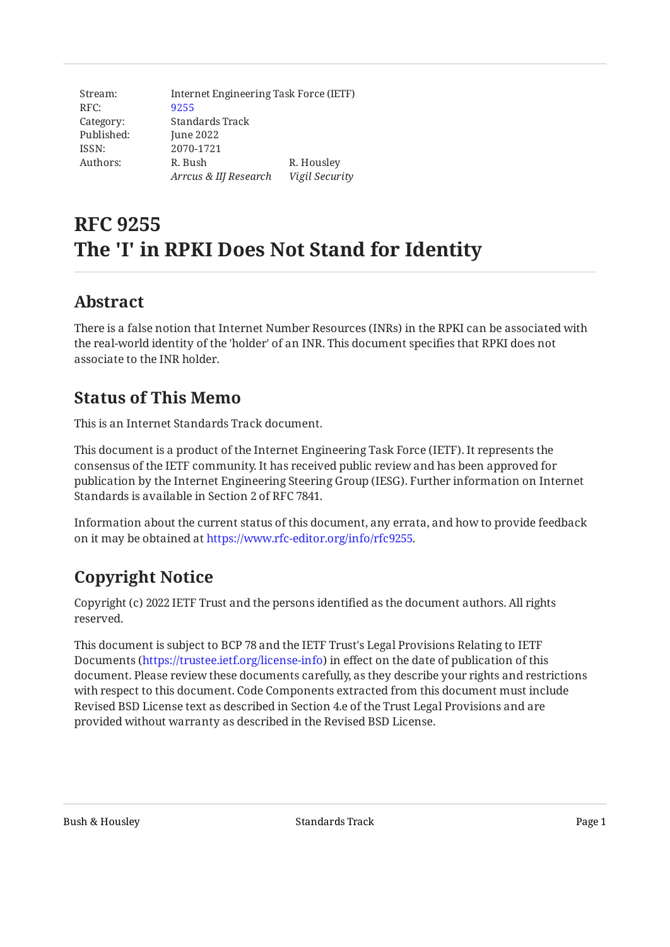| Stream:    | Internet Engineering Task Force (IETF) |                |
|------------|----------------------------------------|----------------|
| RFC:       | 9255                                   |                |
| Category:  | Standards Track                        |                |
| Published: | June 2022                              |                |
| ISSN:      | 2070-1721                              |                |
| Authors:   | R. Bush                                | R. Housley     |
|            | Arrcus & IIJ Research                  | Vigil Security |

# **RFC 9255 The 'I' in RPKI Does Not Stand for Identity**

### <span id="page-0-0"></span>**[Abstract](#page-0-0)**

There is a false notion that Internet Number Resources (INRs) in the RPKI can be associated with the real-world identity of the 'holder' of an INR. This document specifies that RPKI does not associate to the INR holder.

### <span id="page-0-1"></span>**[Status of This Memo](#page-0-1)**

This is an Internet Standards Track document.

This document is a product of the Internet Engineering Task Force (IETF). It represents the consensus of the IETF community. It has received public review and has been approved for publication by the Internet Engineering Steering Group (IESG). Further information on Internet Standards is available in Section 2 of RFC 7841.

Information about the current status of this document, any errata, and how to provide feedback on it may be obtained at [https://www.rfc-editor.org/info/rfc9255.](https://www.rfc-editor.org/info/rfc9255)

## <span id="page-0-2"></span>**[Copyright Notice](#page-0-2)**

Copyright (c) 2022 IETF Trust and the persons identified as the document authors. All rights reserved.

This document is subject to BCP 78 and the IETF Trust's Legal Provisions Relating to IETF Documents (<https://trustee.ietf.org/license-info>) in effect on the date of publication of this document. Please review these documents carefully, as they describe your rights and restrictions with respect to this document. Code Components extracted from this document must include Revised BSD License text as described in Section 4.e of the Trust Legal Provisions and are provided without warranty as described in the Revised BSD License.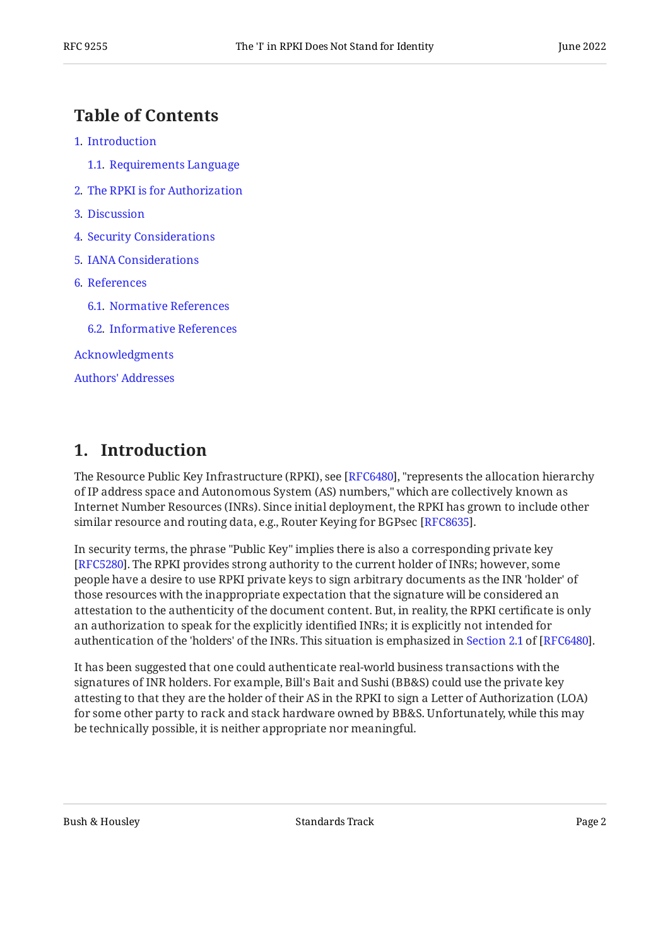#### <span id="page-1-0"></span>**[Table of Contents](#page-1-0)**

- [1](#page-1-1). [Introduction](#page-1-1)
	- [1.1.](#page-2-0) [Requirements Language](#page-2-0)
- [2](#page-2-1). [The RPKI is for Authorization](#page-2-1)
- [3](#page-2-2). [Discussion](#page-2-2)
- [4](#page-4-0). [Security Considerations](#page-4-0)
- [5](#page-4-1). [IANA Considerations](#page-4-1)
- [6](#page-4-2). [References](#page-4-2)
	- [6.1.](#page-4-3) [Normative References](#page-4-3)
	- [6.2.](#page-5-0) [Informative References](#page-5-0)

[Acknowledgments](#page-5-1)

[Authors' Addresses](#page-5-2)

### <span id="page-1-1"></span>**[1. Introduction](#page-1-1)**

The Resource Public Key Infrastructure (RPKI), see [[RFC6480\]](#page-4-4), "represents the allocation hierarchy of IP address space and Autonomous System (AS) numbers," which are collectively known as Internet Number Resources (INRs). Since initial deployment, the RPKI has grown to include other similar resource and routing data, e.g., Router Keying for BGPsec [RFC8635].

In security terms, the phrase "Public Key" implies there is also a corresponding private key [[RFC5280\]](#page-4-5). The RPKI provides strong authority to the current holder of INRs; however, some people have a desire to use RPKI private keys to sign arbitrary documents as the INR 'holder' of those resources with the inappropriate expectation that the signature will be considered an attestation to the authenticity of the document content. But, in reality, the RPKI certificate is only an authorization to speak for the explicitly identified INRs; it is explicitly not intended for authenticationof the 'holders' of the INRs. This situation is emphasized in Section 2.1 of [RFC6480].

It has been suggested that one could authenticate real-world business transactions with the signatures of INR holders. For example, Bill's Bait and Sushi (BB&S) could use the private key attesting to that they are the holder of their AS in the RPKI to sign a Letter of Authorization (LOA) for some other party to rack and stack hardware owned by BB&S. Unfortunately, while this may be technically possible, it is neither appropriate nor meaningful.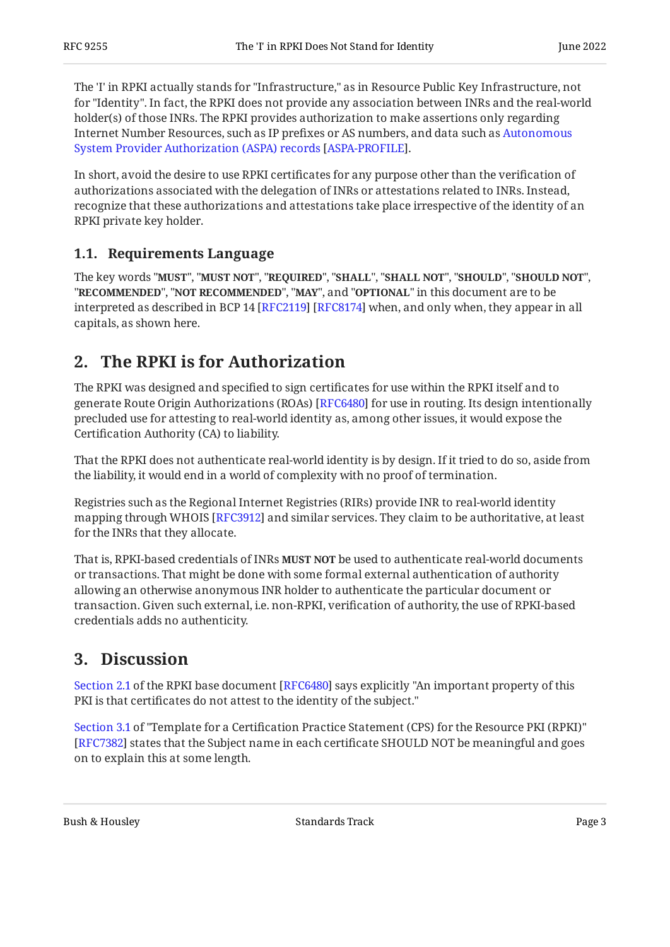The 'I' in RPKI actually stands for "Infrastructure," as in Resource Public Key Infrastructure, not for "Identity". In fact, the RPKI does not provide any association between INRs and the real-world holder(s) of those INRs. The RPKI provides authorization to make assertions only regarding Internet Number Resources, such as IP prefixes or AS numbers, and data such as [Autonomous](#page-5-4) . [System Provider Authorization \(ASPA\) records](#page-5-4) [[ASPA-PROFILE](#page-5-4)]

In short, avoid the desire to use RPKI certificates for any purpose other than the verification of authorizations associated with the delegation of INRs or attestations related to INRs. Instead, recognize that these authorizations and attestations take place irrespective of the identity of an RPKI private key holder.

#### <span id="page-2-0"></span>**[1.1. Requirements Language](#page-2-0)**

The key words "MUST", "MUST NOT", "REQUIRED", "SHALL", "SHALL NOT", "SHOULD", "SHOULD NOT", "**RECOMMENDED", "NOT RECOMMENDED", "MAY",** and "OPTIONAL" in this document are to be interpreted as described in BCP 14 [RFC2119] [RFC8174] when, and only when, they appear in all capitals, as shown here.

### <span id="page-2-1"></span>**[2. The RPKI is for Authorization](#page-2-1)**

The RPKI was designed and specified to sign certificates for use within the RPKI itself and to generate Route Origin Authorizations (ROAs) [\[RFC6480\]](#page-4-4) for use in routing. Its design intentionally precluded use for attesting to real-world identity as, among other issues, it would expose the Certification Authority (CA) to liability.

That the RPKI does not authenticate real-world identity is by design. If it tried to do so, aside from the liability, it would end in a world of complexity with no proof of termination.

Registries such as the Regional Internet Registries (RIRs) provide INR to real-world identity mapping through WHOIS [RFC3912] and similar services. They claim to be authoritative, at least for the INRs that they allocate.

That is, RPKI-based credentials of INRs **MUST NOT** be used to authenticate real-world documents or transactions. That might be done with some formal external authentication of authority allowing an otherwise anonymous INR holder to authenticate the particular document or transaction. Given such external, i.e. non-RPKI, verification of authority, the use of RPKI-based credentials adds no authenticity.

### <span id="page-2-2"></span>**[3. Discussion](#page-2-2)**

[Section 2.1](https://www.rfc-editor.org/rfc/rfc6480#section-2.1) of the RPKI base document [[RFC6480\]](#page-4-4) says explicitly "An important property of this PKI is that certificates do not attest to the identity of the subject."

[[RFC7382\]](#page-4-8) states that the Subject name in each certificate SHOULD NOT be meaningful and goes on to explain this at some length. [Section 3.1](https://www.rfc-editor.org/rfc/rfc7382#section-3.1) of "Template for a Certification Practice Statement (CPS) for the Resource PKI (RPKI)"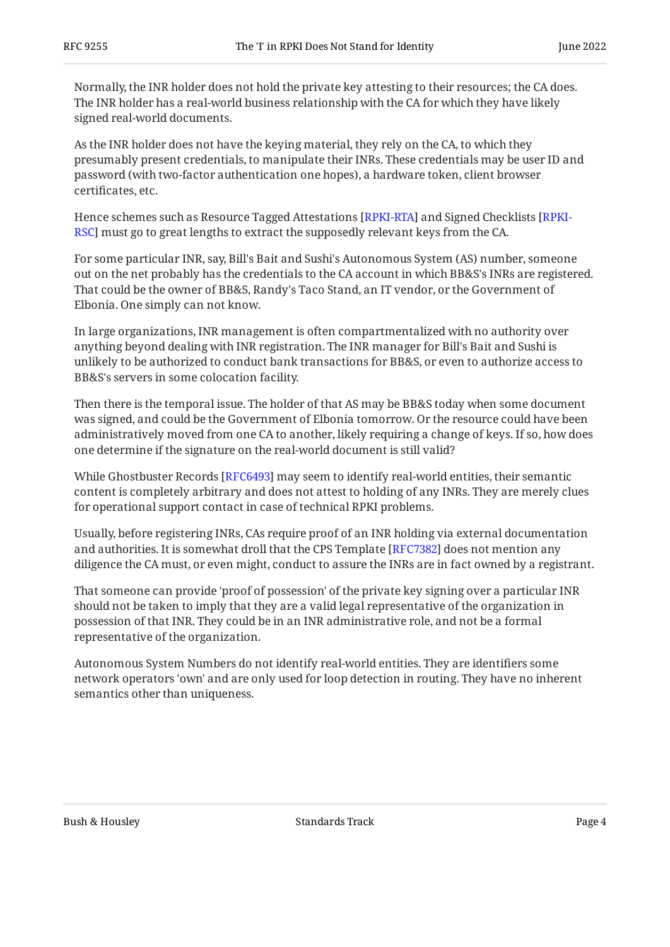Normally, the INR holder does not hold the private key attesting to their resources; the CA does. The INR holder has a real-world business relationship with the CA for which they have likely signed real-world documents.

As the INR holder does not have the keying material, they rely on the CA, to which they presumably present credentials, to manipulate their INRs. These credentials may be user ID and password (with two-factor authentication one hopes), a hardware token, client browser certificates, etc.

Hence schemes such as Resource Tagged Attestations [[RPKI-RTA](#page-5-6)] and Signed Checklists [\[RPKI-](#page-5-7)[RSC\]](#page-5-7) must go to great lengths to extract the supposedly relevant keys from the CA.

For some particular INR, say, Bill's Bait and Sushi's Autonomous System (AS) number, someone out on the net probably has the credentials to the CA account in which BB&S's INRs are registered. That could be the owner of BB&S, Randy's Taco Stand, an IT vendor, or the Government of Elbonia. One simply can not know.

In large organizations, INR management is often compartmentalized with no authority over anything beyond dealing with INR registration. The INR manager for Bill's Bait and Sushi is unlikely to be authorized to conduct bank transactions for BB&S, or even to authorize access to BB&S's servers in some colocation facility.

Then there is the temporal issue. The holder of that AS may be BB&S today when some document was signed, and could be the Government of Elbonia tomorrow. Or the resource could have been administratively moved from one CA to another, likely requiring a change of keys. If so, how does one determine if the signature on the real-world document is still valid?

While Ghostbuster Records [\[RFC6493\]](#page-5-8) may seem to identify real-world entities, their semantic content is completely arbitrary and does not attest to holding of any INRs. They are merely clues for operational support contact in case of technical RPKI problems.

Usually, before registering INRs, CAs require proof of an INR holding via external documentation and authorities. It is somewhat droll that the CPS Template [[RFC7382\]](#page-4-8) does not mention any diligence the CA must, or even might, conduct to assure the INRs are in fact owned by a registrant.

That someone can provide 'proof of possession' of the private key signing over a particular INR should not be taken to imply that they are a valid legal representative of the organization in possession of that INR. They could be in an INR administrative role, and not be a formal representative of the organization.

Autonomous System Numbers do not identify real-world entities. They are identifiers some network operators 'own' and are only used for loop detection in routing. They have no inherent semantics other than uniqueness.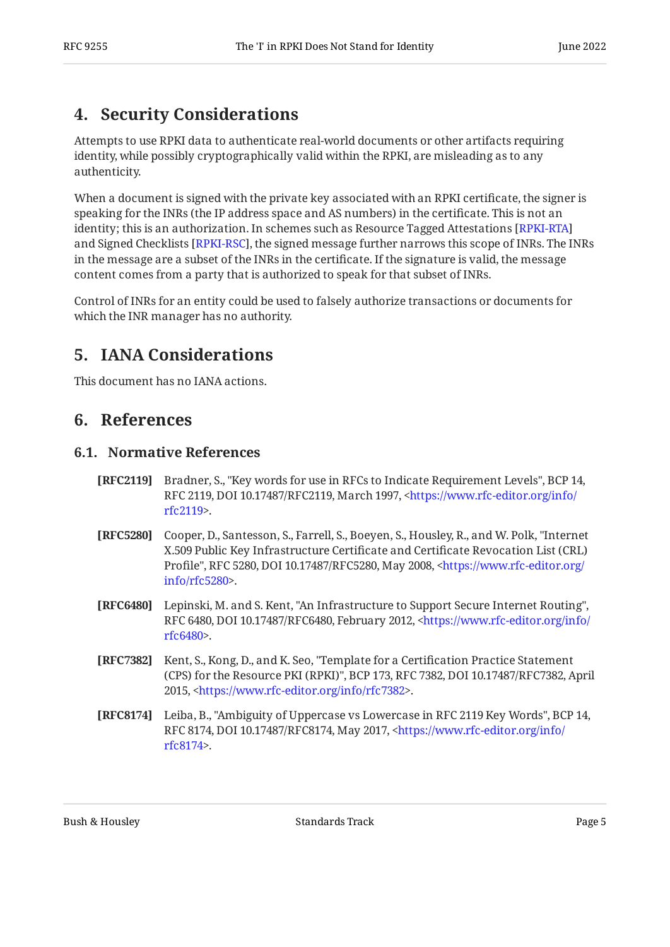#### <span id="page-4-0"></span>**[4. Security Considerations](#page-4-0)**

Attempts to use RPKI data to authenticate real-world documents or other artifacts requiring identity, while possibly cryptographically valid within the RPKI, are misleading as to any authenticity.

When a document is signed with the private key associated with an RPKI certificate, the signer is speaking for the INRs (the IP address space and AS numbers) in the certificate. This is not an identity; this is an authorization. In schemes such as Resource Tagged Attestations [\[RPKI-RTA](#page-5-6)] and Signed Checklists [RPKI-RSC], the signed message further narrows this scope of INRs. The INRs in the message are a subset of the INRs in the certificate. If the signature is valid, the message content comes from a party that is authorized to speak for that subset of INRs.

<span id="page-4-1"></span>Control of INRs for an entity could be used to falsely authorize transactions or documents for which the INR manager has no authority.

### **[5. IANA Considerations](#page-4-1)**

<span id="page-4-2"></span>This document has no IANA actions.

#### <span id="page-4-3"></span>**[6. References](#page-4-2)**

#### **[6.1. Normative References](#page-4-3)**

- <span id="page-4-6"></span>**[RFC2119]** Bradner, S., "Key words for use in RFCs to Indicate Requirement Levels", BCP 14, RFC 2119, DOI 10.17487/RFC2119, March 1997, [<https://www.rfc-editor.org/info/](https://www.rfc-editor.org/info/rfc2119) . [rfc2119](https://www.rfc-editor.org/info/rfc2119)>
- <span id="page-4-5"></span>**[RFC5280]** Cooper, D., Santesson, S., Farrell, S., Boeyen, S., Housley, R., and W. Polk, "Internet Profile", RFC 5280, DOI 10.17487/RFC5280, May 2008, [<https://www.rfc-editor.org/](https://www.rfc-editor.org/info/rfc5280) . [info/rfc5280>](https://www.rfc-editor.org/info/rfc5280) X.509 Public Key Infrastructure Certificate and Certificate Revocation List (CRL)
- <span id="page-4-4"></span>**[RFC6480]** Lepinski, M. and S. Kent, "An Infrastructure to Support Secure Internet Routing", RFC 6480, DOI 10.17487/RFC6480, February 2012, [<https://www.rfc-editor.org/info/](https://www.rfc-editor.org/info/rfc6480) . [rfc6480](https://www.rfc-editor.org/info/rfc6480)>
- <span id="page-4-8"></span>**[RFC7382]** Kent, S., Kong, D., and K. Seo, "Template for a Certification Practice Statement (CPS) for the Resource PKI (RPKI)", BCP 173, RFC 7382, DOI 10.17487/RFC7382, April 2015, <[https://www.rfc-editor.org/info/rfc7382>](https://www.rfc-editor.org/info/rfc7382).
- <span id="page-4-7"></span>**[RFC8174]** Leiba, B., "Ambiguity of Uppercase vs Lowercase in RFC 2119 Key Words", BCP 14, RFC 8174, DOI 10.17487/RFC8174, May 2017, <[https://www.rfc-editor.org/info/](https://www.rfc-editor.org/info/rfc8174) . [rfc8174](https://www.rfc-editor.org/info/rfc8174)>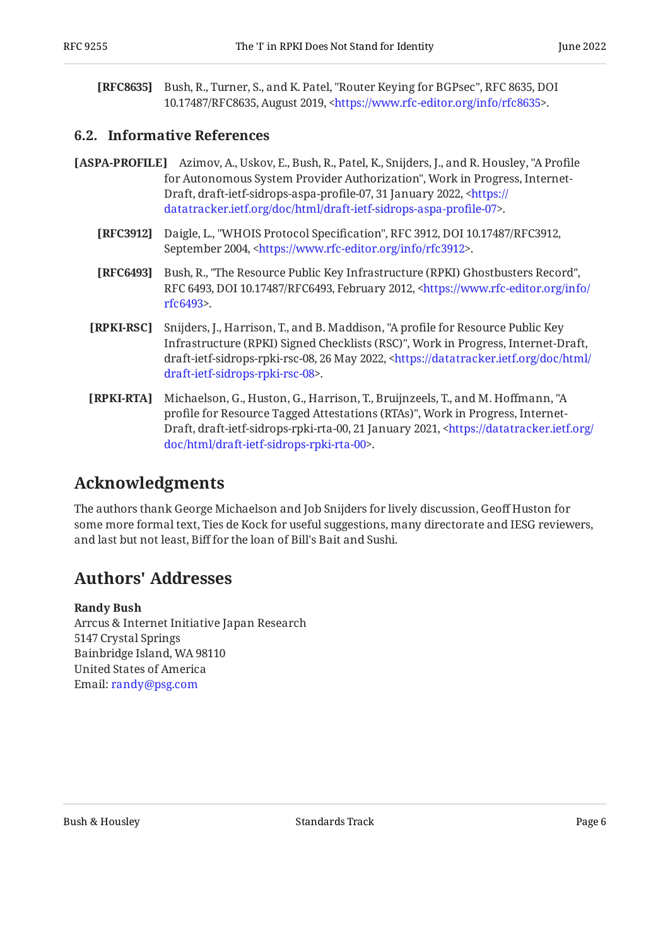<span id="page-5-3"></span>**[RFC8635]** Bush, R., Turner, S., and K. Patel, "Router Keying for BGPsec", RFC 8635, DOI 10.17487/RFC8635, August 2019, [<https://www.rfc-editor.org/info/rfc8635](https://www.rfc-editor.org/info/rfc8635)>.

#### <span id="page-5-0"></span>**[6.2. Informative References](#page-5-0)**

- <span id="page-5-8"></span><span id="page-5-5"></span><span id="page-5-4"></span>**[ASPA-PROFILE]** Azimov, A., Uskov, E., Bush, R., Patel, K., Snijders, J., and R. Housley, "A Profile for Autonomous System Provider Authorization", Work in Progress, Internet-Draft, draft-ietf-sidrops-aspa-profile-07, 31 January 2022, <<del>https:/</del>/ . [datatracker.ietf.org/doc/html/draft-ietf-sidrops-aspa-pro](https://datatracker.ietf.org/doc/html/draft-ietf-sidrops-aspa-profile-07)file-07>
	- **[RFC3912]** Daigle, L., "WHOIS Protocol Specification", RFC 3912, DOI 10.17487/RFC3912, September 2004, <https://www.rfc-editor.org/info/rfc3912>.
	- **[RFC6493]** Bush, R., "The Resource Public Key Infrastructure (RPKI) Ghostbusters Record", RFC 6493, DOI 10.17487/RFC6493, February 2012, [<https://www.rfc-editor.org/info/](https://www.rfc-editor.org/info/rfc6493) . [rfc6493](https://www.rfc-editor.org/info/rfc6493)>
	- **[RPKI-RSC]** Snijders, J., Harrison, T., and B. Maddison, "A profile for Resource Public Key Infrastructure (RPKI) Signed Checklists (RSC)", Work in Progress, Internet-Draft, draft-ietf-sidrops-rpki-rsc-08, 26 May 2022, <[https://datatracker.ietf.org/doc/html/](https://datatracker.ietf.org/doc/html/draft-ietf-sidrops-rpki-rsc-08) . [draft-ietf-sidrops-rpki-rsc-08](https://datatracker.ietf.org/doc/html/draft-ietf-sidrops-rpki-rsc-08)>
	- **[RPKI-RTA]** Michaelson, G., Huston, G., Harrison, T., Bruijnzeels, T., and M. Hoffmann, "A profile for Resource Tagged Attestations (RTAs)", Work in Progress, Internet-Draft, draft-ietf-sidrops-rpki-rta-00, 21 January 2021, [<https://datatracker.ietf.org/](https://datatracker.ietf.org/doc/html/draft-ietf-sidrops-rpki-rta-00) . [doc/html/draft-ietf-sidrops-rpki-rta-00](https://datatracker.ietf.org/doc/html/draft-ietf-sidrops-rpki-rta-00)>

#### <span id="page-5-7"></span><span id="page-5-6"></span><span id="page-5-1"></span>**[Acknowledgments](#page-5-1)**

The authors thank George Michaelson and Job Snijders for lively discussion, Geoff Huston for some more formal text, Ties de Kock for useful suggestions, many directorate and IESG reviewers, and last but not least, Biff for the loan of Bill's Bait and Sushi.

#### <span id="page-5-2"></span>**[Authors' Addresses](#page-5-2)**

#### **Randy Bush**

Arrcus & Internet Initiative Japan Research 5147 Crystal Springs Bainbridge Island, WA 98110 United States of America Email: [randy@psg.com](mailto:randy@psg.com)